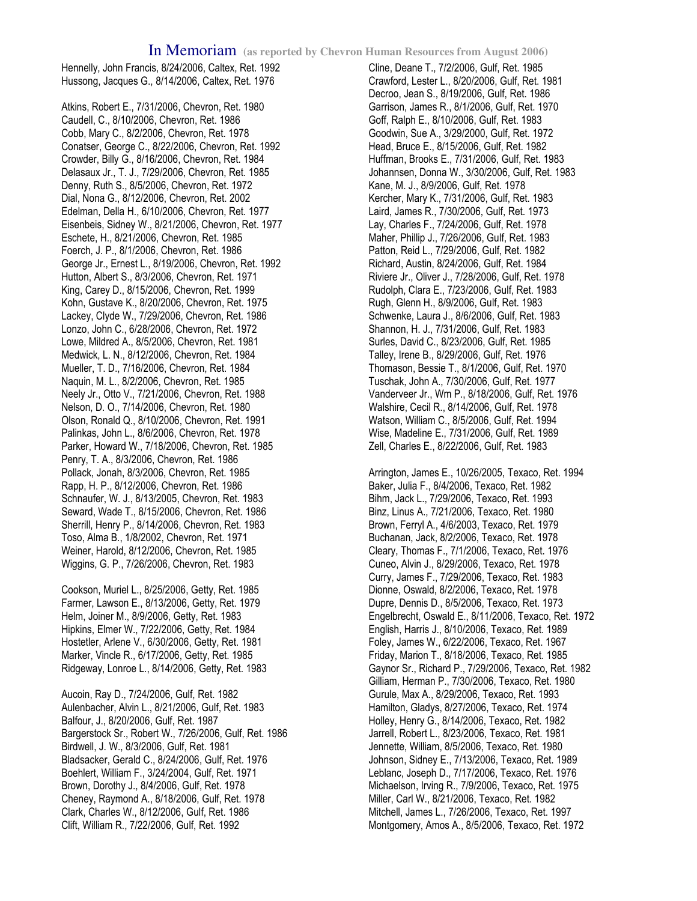Hennelly, John Francis, 8/24/2006, Caltex, Ret. 1992 Hussong, Jacques G., 8/14/2006, Caltex, Ret. 1976

Atkins, Robert E., 7/31/2006, Chevron, Ret. 1980 Caudell, C., 8/10/2006, Chevron, Ret. 1986 Cobb, Mary C., 8/2/2006, Chevron, Ret. 1978 Conatser, George C., 8/22/2006, Chevron, Ret. 1992 Crowder, Billy G., 8/16/2006, Chevron, Ret. 1984 Delasaux Jr., T. J., 7/29/2006, Chevron, Ret. 1985 Denny, Ruth S., 8/5/2006, Chevron, Ret. 1972 Dial, Nona G., 8/12/2006, Chevron, Ret. 2002 Edelman, Della H., 6/10/2006, Chevron, Ret. 1977 Eisenbeis, Sidney W., 8/21/2006, Chevron, Ret. 1977 Eschete, H., 8/21/2006, Chevron, Ret. 1985 Foerch, J. P., 8/1/2006, Chevron, Ret. 1986 George Jr., Ernest L., 8/19/2006, Chevron, Ret. 1992 Hutton, Albert S., 8/3/2006, Chevron, Ret. 1971 King, Carey D., 8/15/2006, Chevron, Ret. 1999 Kohn, Gustave K., 8/20/2006, Chevron, Ret. 1975 Lackey, Clyde W., 7/29/2006, Chevron, Ret. 1986 Lonzo, John C., 6/28/2006, Chevron, Ret. 1972 Lowe, Mildred A., 8/5/2006, Chevron, Ret. 1981 Medwick, L. N., 8/12/2006, Chevron, Ret. 1984 Mueller, T. D., 7/16/2006, Chevron, Ret. 1984 Naquin, M. L., 8/2/2006, Chevron, Ret. 1985 Neely Jr., Otto V., 7/21/2006, Chevron, Ret. 1988 Nelson, D. O., 7/14/2006, Chevron, Ret. 1980 Olson, Ronald Q., 8/10/2006, Chevron, Ret. 1991 Palinkas, John L., 8/6/2006, Chevron, Ret. 1978 Parker, Howard W., 7/18/2006, Chevron, Ret. 1985 Penry, T. A., 8/3/2006, Chevron, Ret. 1986 Pollack, Jonah, 8/3/2006, Chevron, Ret. 1985 Rapp, H. P., 8/12/2006, Chevron, Ret. 1986 Schnaufer, W. J., 8/13/2005, Chevron, Ret. 1983 Seward, Wade T., 8/15/2006, Chevron, Ret. 1986 Sherrill, Henry P., 8/14/2006, Chevron, Ret. 1983 Toso, Alma B., 1/8/2002, Chevron, Ret. 1971 Weiner, Harold, 8/12/2006, Chevron, Ret. 1985 Wiggins, G. P., 7/26/2006, Chevron, Ret. 1983

Cookson, Muriel L., 8/25/2006, Getty, Ret. 1985 Farmer, Lawson E., 8/13/2006, Getty, Ret. 1979 Helm, Joiner M., 8/9/2006, Getty, Ret. 1983 Hipkins, Elmer W., 7/22/2006, Getty, Ret. 1984 Hostetler, Arlene V., 6/30/2006, Getty, Ret. 1981 Marker, Vincle R., 6/17/2006, Getty, Ret. 1985 Ridgeway, Lonroe L., 8/14/2006, Getty, Ret. 1983

Aucoin, Ray D., 7/24/2006, Gulf, Ret. 1982 Aulenbacher, Alvin L., 8/21/2006, Gulf, Ret. 1983 Balfour, J., 8/20/2006, Gulf, Ret. 1987 Bargerstock Sr., Robert W., 7/26/2006, Gulf, Ret. 1986 Birdwell, J. W., 8/3/2006, Gulf, Ret. 1981 Bladsacker, Gerald C., 8/24/2006, Gulf, Ret. 1976 Boehlert, William F., 3/24/2004, Gulf, Ret. 1971 Brown, Dorothy J., 8/4/2006, Gulf, Ret. 1978 Cheney, Raymond A., 8/18/2006, Gulf, Ret. 1978 Clark, Charles W., 8/12/2006, Gulf, Ret. 1986 Clift, William R., 7/22/2006, Gulf, Ret. 1992

Cline, Deane T., 7/2/2006, Gulf, Ret. 1985 Crawford, Lester L., 8/20/2006, Gulf, Ret. 1981 Decroo, Jean S., 8/19/2006, Gulf, Ret. 1986 Garrison, James R., 8/1/2006, Gulf, Ret. 1970 Goff, Ralph E., 8/10/2006, Gulf, Ret. 1983 Goodwin, Sue A., 3/29/2000, Gulf, Ret. 1972 Head, Bruce E., 8/15/2006, Gulf, Ret. 1982 Huffman, Brooks E., 7/31/2006, Gulf, Ret. 1983 Johannsen, Donna W., 3/30/2006, Gulf, Ret. 1983 Kane, M. J., 8/9/2006, Gulf, Ret. 1978 Kercher, Mary K., 7/31/2006, Gulf, Ret. 1983 Laird, James R., 7/30/2006, Gulf, Ret. 1973 Lay, Charles F., 7/24/2006, Gulf, Ret. 1978 Maher, Phillip J., 7/26/2006, Gulf, Ret. 1983 Patton, Reid L., 7/29/2006, Gulf, Ret. 1982 Richard, Austin, 8/24/2006, Gulf, Ret. 1984 Riviere Jr., Oliver J., 7/28/2006, Gulf, Ret. 1978 Rudolph, Clara E., 7/23/2006, Gulf, Ret. 1983 Rugh, Glenn H., 8/9/2006, Gulf, Ret. 1983 Schwenke, Laura J., 8/6/2006, Gulf, Ret. 1983 Shannon, H. J., 7/31/2006, Gulf, Ret. 1983 Surles, David C., 8/23/2006, Gulf, Ret. 1985 Talley, Irene B., 8/29/2006, Gulf, Ret. 1976 Thomason, Bessie T., 8/1/2006, Gulf, Ret. 1970 Tuschak, John A., 7/30/2006, Gulf, Ret. 1977 Vanderveer Jr., Wm P., 8/18/2006, Gulf, Ret. 1976 Walshire, Cecil R., 8/14/2006, Gulf, Ret. 1978 Watson, William C., 8/5/2006, Gulf, Ret. 1994 Wise, Madeline E., 7/31/2006, Gulf, Ret. 1989 Zell, Charles E., 8/22/2006, Gulf, Ret. 1983

Arrington, James E., 10/26/2005, Texaco, Ret. 1994 Baker, Julia F., 8/4/2006, Texaco, Ret. 1982 Bihm, Jack L., 7/29/2006, Texaco, Ret. 1993 Binz, Linus A., 7/21/2006, Texaco, Ret. 1980 Brown, Ferryl A., 4/6/2003, Texaco, Ret. 1979 Buchanan, Jack, 8/2/2006, Texaco, Ret. 1978 Cleary, Thomas F., 7/1/2006, Texaco, Ret. 1976 Cuneo, Alvin J., 8/29/2006, Texaco, Ret. 1978 Curry, James F., 7/29/2006, Texaco, Ret. 1983 Dionne, Oswald, 8/2/2006, Texaco, Ret. 1978 Dupre, Dennis D., 8/5/2006, Texaco, Ret. 1973 Engelbrecht, Oswald E., 8/11/2006, Texaco, Ret. 1972 English, Harris J., 8/10/2006, Texaco, Ret. 1989 Foley, James W., 6/22/2006, Texaco, Ret. 1967 Friday, Marion T., 8/18/2006, Texaco, Ret. 1985 Gaynor Sr., Richard P., 7/29/2006, Texaco, Ret. 1982 Gilliam, Herman P., 7/30/2006, Texaco, Ret. 1980 Gurule, Max A., 8/29/2006, Texaco, Ret. 1993 Hamilton, Gladys, 8/27/2006, Texaco, Ret. 1974 Holley, Henry G., 8/14/2006, Texaco, Ret. 1982 Jarrell, Robert L., 8/23/2006, Texaco, Ret. 1981 Jennette, William, 8/5/2006, Texaco, Ret. 1980 Johnson, Sidney E., 7/13/2006, Texaco, Ret. 1989 Leblanc, Joseph D., 7/17/2006, Texaco, Ret. 1976 Michaelson, Irving R., 7/9/2006, Texaco, Ret. 1975 Miller, Carl W., 8/21/2006, Texaco, Ret. 1982 Mitchell, James L., 7/26/2006, Texaco, Ret. 1997 Montgomery, Amos A., 8/5/2006, Texaco, Ret. 1972